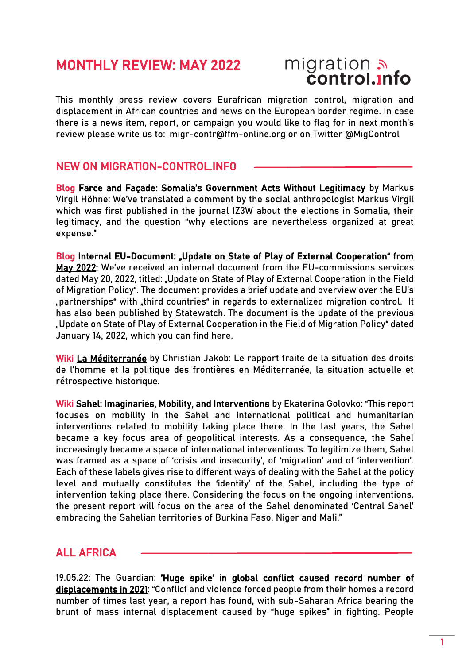## MONTHLY REVIEW: MAY 2022

# migration<br>**control.info**

This monthly press review covers Eurafrican migration control, migration and displacement in African countries and news on the European border regime. In case there is a news item, report, or campaign you would like to flag for in next month's review please write us to: [migr-contr@ffm-online.org](mailto:migr-contr@ffm-online.org) or on Twitter [@MigControl](https://twitter.com/MigControl)

#### NEW ON MIGRATION-CONTROL.INFO

Blog [Farce and Façade: Somalia's Government Acts Without Legitimacy](https://migration-control.info/farce-and-facade-somalias-government-acts-without-legitimacy/) by Markus Virgil Höhne: We've translated a comment by the social anthropologist Markus Virgil which was first published in the journal IZ3W about the elections in Somalia, their legitimacy, and the question "why elections are nevertheless organized at great expense."

Blog Internal EU-Document: "Update on State of Play of External Cooperation" from [May 2022:](https://migration-control.info/internal-eu-document-update-on-state-of-play-of-external-cooperation-may-2022/) We've received an internal document from the EU-commissions services dated May 20, 2022, titled: "Update on State of Play of External Cooperation in the Field of Migration Policy". The document provides a brief update and overview over the EU's "partnerships" with "third countries" in regards to externalized migration control. It has also been published by **Statewatch**. The document is the update of the previous "Update on State of Play of External Cooperation in the Field of Migration Policy" dated January 14, 2022, which you can find [here.](https://migration-control.info/internal-eu-document-update-on-state-of-play-of-external-cooperation/)

Wiki [La Méditerranée](https://migration-control.info/fr/wiki/mediterranee) by Christian Jakob: Le rapport traite de la situation des droits de l'homme et la politique des frontières en Méditerranée, la situation actuelle et rétrospective historique.

Wiki [Sahel: Imaginaries, Mobility, and Interventions](https://migration-control.info/en/wiki/sahel/) by Ekaterina Golovko: "This report focuses on mobility in the Sahel and international political and humanitarian interventions related to mobility taking place there. In the last years, the Sahel became a key focus area of geopolitical interests. As a consequence, the Sahel increasingly became a space of international interventions. To legitimize them, Sahel was framed as a space of 'crisis and insecurity', of 'migration' and of 'intervention'. Each of these labels gives rise to different ways of dealing with the Sahel at the policy level and mutually constitutes the 'identity' of the Sahel, including the type of intervention taking place there. Considering the focus on the ongoing interventions, the present report will focus on the area of the Sahel denominated 'Central Sahel' embracing the Sahelian territories of Burkina Faso, Niger and Mali."

#### ALL AFRICA

19.05.22: The Guardian: ['Huge spike' in global conflict caused record number of](https://www.theguardian.com/global-development/2022/may/19/huge-spike-in-global-conflict-caused-record-number-of-displacements-in-2021)  [displacements in 2021](https://www.theguardian.com/global-development/2022/may/19/huge-spike-in-global-conflict-caused-record-number-of-displacements-in-2021): "Conflict and violence forced people from their homes a record number of times last year, a report has found, with sub-Saharan Africa bearing the brunt of mass internal displacement caused by "huge spikes" in fighting. People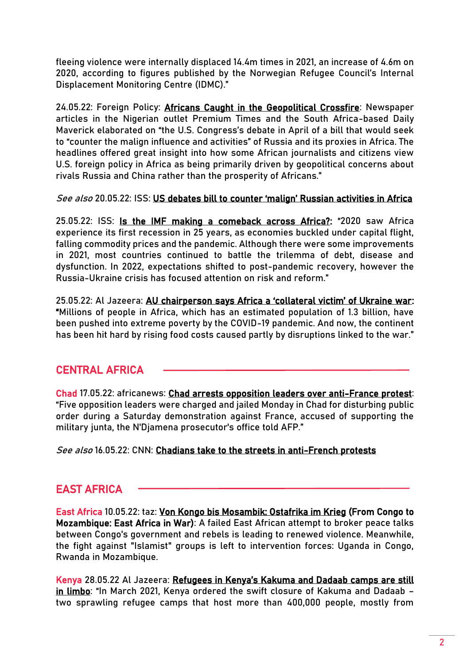fleeing violence were internally displaced 14.4m times in 2021, an increase of 4.6m on 2020, according to figures published by the Norwegian Refugee Council's Internal Displacement Monitoring Centre (IDMC)."

24.05.22: Foreign Policy: [Africans Caught in the Geopolitical Crossfire:](http://click1.crm.foreignpolicy.com/ViewMessage.do?m=owkkzrrk&r=xcddssgjgr&s=rvjggqblbjgccckkjqwhbsrqqhlkwkclrwv&q=1653454500&a=view) Newspaper articles in the Nigerian outlet Premium Times and the South Africa-based Daily Maverick elaborated on "the U.S. Congress's debate in April of a bill that would seek to "counter the malign influence and activities" of Russia and its proxies in Africa. The headlines offered great insight into how some African journalists and citizens view U.S. foreign policy in Africa as being primarily driven by geopolitical concerns about rivals Russia and China rather than the prosperity of Africans."

See also 20.05.22: ISS: US [debates bill to counter 'malign' Russian activities in Africa](https://issafrica.org/iss-today/us-debates-bill-to-counter-malign-russian-activities-in-africa)

25.05.22: ISS: [Is the IMF making a comeback across Africa?:](https://issafrica.org/iss-today/is-the-imf-making-a-comeback-across-africa) "2020 saw Africa experience its first recession in 25 years, as economies buckled under capital flight, falling commodity prices and the pandemic. Although there were some improvements in 2021, most countries continued to battle the trilemma of debt, disease and dysfunction. In 2022, expectations shifted to post-pandemic recovery, however the Russia-Ukraine crisis has focused attention on risk and reform."

25.05.22: Al Jazeera: [AU chairperson says Africa a 'collateral victim' of Ukraine war](https://www.aljazeera.com/economy/2022/5/25/au-chairperson-says-africa-a-collateral-victim-of-ukraine-war): "Millions of people in Africa, which has an estimated population of 1.3 billion, have been pushed into extreme poverty by the COVID-19 pandemic. And now, the continent has been hit hard by rising food costs caused partly by disruptions linked to the war."

### CENTRAL AFRICA

Chad 17.05.22: africanews: [Chad arrests opposition leaders over anti-France protest:](https://www.africanews.com/2022/05/17/chad-arrests-opposition-leaders-over-anti-france-protest/) "Five opposition leaders were charged and jailed Monday in Chad for disturbing public order during a Saturday demonstration against France, accused of supporting the military junta, the N'Djamena prosecutor's office told AFP."

See also 16.05.22: CNN: [Chadians take to the streets in anti-French protests](https://edition.cnn.com/2022/05/16/africa/chad-disperse-anti-french-protest-intl/index.html)

### EAST AFRICA

East Africa 10.05.22: taz: [Von Kongo bis Mosambik: Ostafrika im Krieg](https://taz.de/Von-Kongo-bis-Mosambik/!5850702/) (From Congo to Mozambique: East Africa in War): A failed East African attempt to broker peace talks between Congo's government and rebels is leading to renewed violence. Meanwhile, the fight against "Islamist" groups is left to intervention forces: Uganda in Congo, Rwanda in Mozambique.

Kenya 28.05.22 Al Jazeera: [Refugees in Kenya's Kakuma and Dadaab camps are still](https://www.aljazeera.com/opinions/2022/5/28/refugees-in-kenyas-kakuma-and-dadaab-camps-are-still-in-limbo)  [in limbo:](https://www.aljazeera.com/opinions/2022/5/28/refugees-in-kenyas-kakuma-and-dadaab-camps-are-still-in-limbo) "In March 2021, Kenya ordered the swift closure of Kakuma and Dadaab two sprawling refugee camps that host more than 400,000 people, mostly from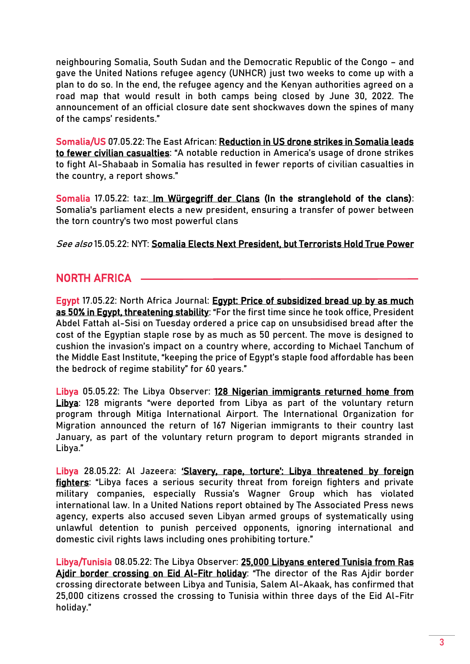neighbouring Somalia, South Sudan and the Democratic Republic of the Congo – and gave the United Nations refugee agency (UNHCR) just two weeks to come up with a plan to do so. In the end, the refugee agency and the Kenyan authorities agreed on a road map that would result in both camps being closed by June 30, 2022. The announcement of an official closure date sent shockwaves down the spines of many of the camps' residents."

Somalia/US 07.05.22: The East African: [Reduction in US drone strikes in Somalia leads](https://www.theeastafrican.co.ke/tea/news/east-africa/us-drone-strike-somalia-3806766)  [to fewer civilian casualties:](https://www.theeastafrican.co.ke/tea/news/east-africa/us-drone-strike-somalia-3806766) "A notable reduction in America's usage of drone strikes to fight Al-Shabaab in Somalia has resulted in fewer reports of civilian casualties in the country, a report shows."

Somalia 17.05.22: taz[: Im Würgegriff der Clans](https://taz.de/Neuer-Praesident-in-Somalia/!5852525/) (In the stranglehold of the clans): Somalia's parliament elects a new president, ensuring a transfer of power between the torn country's two most powerful clans

See also 15.05.22: NYT: [Somalia Elects Next President, but Terrorists Hold True Power](https://www.nytimes.com/2022/05/15/world/africa/somalia-election-president.html)

#### NORTH AFRICA

Egypt 17.05.22: North Africa Journal: [Egypt: Price of subsidized bread up by as much](https://north-africa.com/2022/03/egypt-price-of-subsidized-bread-up-by-as-much-as-50-in-egypt-threatening-stability/)  [as 50% in Egypt, threatening stability](https://north-africa.com/2022/03/egypt-price-of-subsidized-bread-up-by-as-much-as-50-in-egypt-threatening-stability/): "For the first time since he took office, President Abdel Fattah al-Sisi on Tuesday ordered a price cap on unsubsidised bread after the cost of the Egyptian staple rose by as much as 50 percent. The move is designed to cushion the invasion's impact on a country where, according to Michael Tanchum of the Middle East Institute, "keeping the price of Egypt's staple food affordable has been the bedrock of regime stability" for 60 years."

Libya 05.05.22: The Libya Observer: [128 Nigerian immigrants returned home from](https://www.libyaobserver.ly/inbrief/128-nigerian-immigrants-returned-home-libya)  [Libya](https://www.libyaobserver.ly/inbrief/128-nigerian-immigrants-returned-home-libya): 128 migrants "were deported from Libya as part of the voluntary return program through Mitiga International Airport. The International Organization for Migration announced the return of 167 Nigerian immigrants to their country last January, as part of the voluntary return program to deport migrants stranded in Libya."

Libya 28.05.22: Al Jazeera: ['Slavery, rape, torture': Libya threatened by foreign](https://www.aljazeera.com/news/2022/5/28/un-experts-libyas-security-threatened-by-foreign-fighters?sf165325163=1)  [fighters](https://www.aljazeera.com/news/2022/5/28/un-experts-libyas-security-threatened-by-foreign-fighters?sf165325163=1): "Libya faces a serious security threat from foreign fighters and private military companies, especially Russia's Wagner Group which has violated international law. In a United Nations report obtained by The Associated Press news agency, experts also accused seven Libyan armed groups of systematically using unlawful detention to punish perceived opponents, ignoring international and domestic civil rights laws including ones prohibiting torture."

Libya/Tunisia 08.05.22: The Libya Observer: [25,000 Libyans entered Tunisia from Ras](https://www.libyaobserver.ly/inbrief/25000-libyans-entered-tunisia-ras-ajdir-border-crossing-eid-al-fitr-holiday)  [Ajdir border crossing on Eid Al-Fitr holiday](https://www.libyaobserver.ly/inbrief/25000-libyans-entered-tunisia-ras-ajdir-border-crossing-eid-al-fitr-holiday): "The director of the Ras Ajdir border crossing directorate between Libya and Tunisia, Salem Al-Akaak, has confirmed that 25,000 citizens crossed the crossing to Tunisia within three days of the Eid Al-Fitr holiday."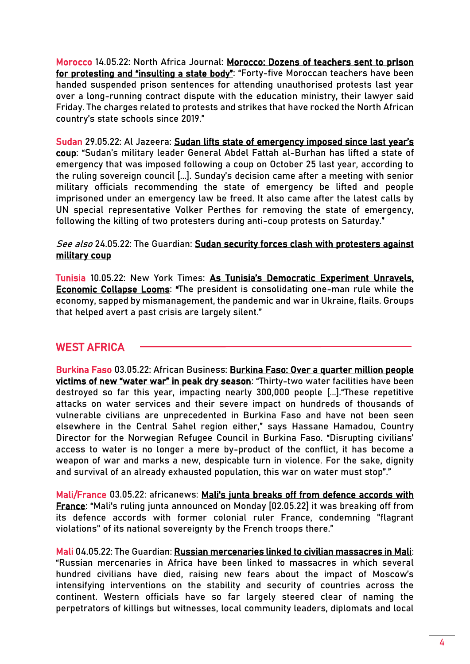Morocco 14.05.22: North Africa Journal: [Morocco: Dozens of teachers sent to prison](https://north-africa.com/2022/03/morocco-dozens-of-teachers-sent-to-prison-for-protesting-and-insulting-a-state-body/)  [for protesting and "insulting a state body":](https://north-africa.com/2022/03/morocco-dozens-of-teachers-sent-to-prison-for-protesting-and-insulting-a-state-body/) "Forty-five Moroccan teachers have been handed suspended prison sentences for attending unauthorised protests last year over a long-running contract dispute with the education ministry, their lawyer said Friday. The charges related to protests and strikes that have rocked the North African country's state schools since 2019."

Sudan 29.05.22: Al Jazeera: Sudan lifts state of emergency imposed since last year's [coup](https://www.aljazeera.com/news/2022/5/29/sudan-lifts-state-of-emergency-imposed-since-last-years-coup): "Sudan's military leader General Abdel Fattah al-Burhan has lifted a state of emergency that was imposed following a coup on October 25 last year, according to the ruling sovereign council [...]. Sunday's decision came after a meeting with senior military officials recommending the state of emergency be lifted and people imprisoned under an emergency law be freed. It also came after the latest calls by UN special representative Volker Perthes for removing the state of emergency, following the killing of two protesters during anti-coup protests on Saturday."

#### See also 24.05.22: The Guardian: Sudan security forces clash with protesters against [military coup](https://www.theguardian.com/world/2022/may/24/sudan-security-forces-clash-with-protesters-against-military-coup)

Tunisia 10.05.22: New York Times: [As Tunisia's Democratic Experiment Unravels,](https://www.nytimes.com/2022/05/07/world/middleeast/tunisia-democracy-economy.html)  [Economic Collapse Looms:](https://www.nytimes.com/2022/05/07/world/middleeast/tunisia-democracy-economy.html) "The president is consolidating one-man rule while the economy, sapped by mismanagement, the pandemic and war in Ukraine, flails. Groups that helped avert a past crisis are largely silent."

#### WEST AFRICA

Burkina Faso 03.05.22: African Business: [Burkina Faso: Over a quarter million people](https://african.business/2022/05/apo-newsfeed/burkina-faso-over-a-quarter-million-people-victims-of-new-water-war-in-peak-dry-season/)  [victims of new "water war" in peak dry season:](https://african.business/2022/05/apo-newsfeed/burkina-faso-over-a-quarter-million-people-victims-of-new-water-war-in-peak-dry-season/) "Thirty-two water facilities have been destroyed so far this year, impacting nearly 300,000 people [...]."These repetitive attacks on water services and their severe impact on hundreds of thousands of vulnerable civilians are unprecedented in Burkina Faso and have not been seen elsewhere in the Central Sahel region either," says Hassane Hamadou, Country Director for the Norwegian Refugee Council in Burkina Faso. "Disrupting civilians' access to water is no longer a mere by-product of the conflict, it has become a weapon of war and marks a new, despicable turn in violence. For the sake, dignity and survival of an already exhausted population, this war on water must stop"."

Mali/France 03.05.22: africanews: Mali's junta breaks off from defence accords with [France:](https://www.africanews.com/2022/05/03/mali-s-junta-breaks-off-from-defence-accords-with-france/) "Mali's ruling junta announced on Monday [02.05.22] it was breaking off from its defence accords with former colonial ruler France, condemning "flagrant violations" of its national sovereignty by the French troops there."

Mali 04.05.22: The Guardian[: Russian mercenaries linked to civilian massacres in Mali:](https://www.theguardian.com/world/2022/may/04/russian-mercenaries-wagner-group-linked-to-civilian-massacres-in-mali) "Russian mercenaries in Africa have been linked to massacres in which several hundred civilians have died, raising new fears about the impact of Moscow's intensifying interventions on the stability and security of countries across the continent. Western officials have so far largely steered clear of naming the perpetrators of killings but witnesses, local community leaders, diplomats and local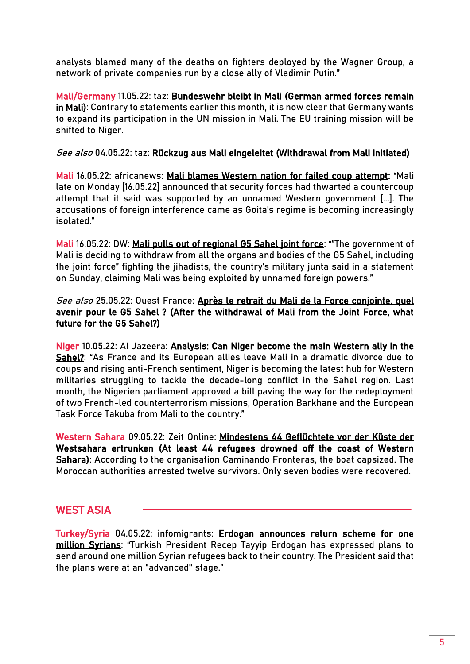analysts blamed many of the deaths on fighters deployed by the Wagner Group, a network of private companies run by a close ally of Vladimir Putin."

Mali/Germany 11.05.22: taz: [Bundeswehr bleibt in Mali](https://taz.de/Doch-kein-kompletter-Abzug/!5850296/) (German armed forces remain in Mali): Contrary to statements earlier this month, it is now clear that Germany wants to expand its participation in the UN mission in Mali. The EU training mission will be shifted to Niger.

See also 04.05.22: taz: [Rückzug aus Mali eingeleitet](https://taz.de/Bundeswehr-in-der-Sahelregion/!5852811/) (Withdrawal from Mali initiated)

Mali 16.05.22: africanews: [Mali blames Western nation for failed coup attempt:](https://www.africanews.com/2022/05/17/mali-blames-western-nation-for-failed-coup-attempt/) "Mali late on Monday [16.05.22] announced that security forces had thwarted a countercoup attempt that it said was supported by an unnamed Western government [...]. The accusations of foreign interference came as Goita's regime is becoming increasingly isolated."

Mali 16.05.22: DW: [Mali pulls out of regional G5 Sahel joint force](https://www.dw.com/en/mali-pulls-out-of-regional-g5-sahel-joint-force/a-61809659): "The government of Mali is deciding to withdraw from all the organs and bodies of the G5 Sahel, including the joint force" fighting the jihadists, the country's military junta said in a statement on Sunday, claiming Mali was being exploited by unnamed foreign powers."

See also 25.05.22: Ouest France: Après le retrait du Mali de la Force conjointe, quel [avenir pour le G5 Sahel ?](https://www.ouest-france.fr/monde/afrique/apres-le-retrait-du-mali-de-la-force-conjointe-quel-avenir-pour-le-g5-sahel-36d40710-d5c4-11ec-9a86-07eb4bd130d9) (After the withdrawal of Mali from the Joint Force, what future for the G5 Sahel?)

Niger 10.05.22: Al Jazeera[: Analysis: Can Niger become the main Western ally in the](https://www.aljazeera.com/features/2022/5/9/analysis-can-niger-become-the-main-western-ally-in-the-sahel)  [Sahel?](https://www.aljazeera.com/features/2022/5/9/analysis-can-niger-become-the-main-western-ally-in-the-sahel): "As France and its European allies leave Mali in a dramatic divorce due to coups and rising anti-French sentiment, Niger is becoming the latest hub for Western militaries struggling to tackle the decade-long conflict in the Sahel region. Last month, the Nigerien parliament approved a bill paving the way for the redeployment of two French-led counterterrorism missions, Operation Barkhane and the European Task Force Takuba from Mali to the country."

Western Sahara 09.05.22: Zeit Online: [Mindestens 44 Geflüchtete vor der Küste der](https://www.zeit.de/gesellschaft/zeitgeschehen/2022-05/westsahara-gefluechtete-tote)  [Westsahara ertrunken](https://www.zeit.de/gesellschaft/zeitgeschehen/2022-05/westsahara-gefluechtete-tote) (At least 44 refugees drowned off the coast of Western Sahara): According to the organisation Caminando Fronteras, the boat capsized. The Moroccan authorities arrested twelve survivors. Only seven bodies were recovered.

#### WEST ASIA

Turkey/Syria 04.05.22: infomigrants: [Erdogan announces return scheme for one](https://www.infomigrants.net/en/post/40274/erdogan-announces-return-scheme-for-one-million-syrians)  [million Syrians](https://www.infomigrants.net/en/post/40274/erdogan-announces-return-scheme-for-one-million-syrians): "Turkish President Recep Tayyip Erdogan has expressed plans to send around one million Syrian refugees back to their country. The President said that the plans were at an "advanced" stage."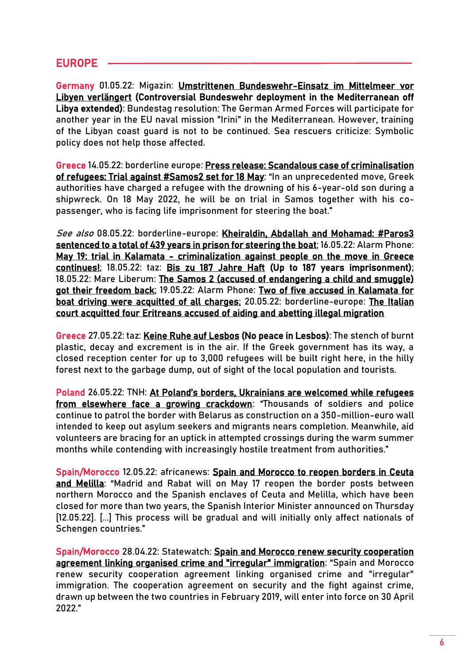#### EUROPE

Germany 01.05.22: Migazin: [Umstrittenen Bundeswehr-Einsatz im Mittelmeer vor](https://www.migazin.de/2022/05/01/fluechtlingspolitik-umstrittenen-bundeswehr-einsatz-mittelmeer/)  [Libyen verlängert](https://www.migazin.de/2022/05/01/fluechtlingspolitik-umstrittenen-bundeswehr-einsatz-mittelmeer/) (Controversial Bundeswehr deployment in the Mediterranean off Libya extended): Bundestag resolution: The German Armed Forces will participate for another year in the EU naval mission "Irini" in the Mediterranean. However, training of the Libyan coast guard is not to be continued. Sea rescuers criticize: Symbolic policy does not help those affected.

Greece 14.05.22: borderline europe: [Press release: Scandalous case of criminalisation](https://www.borderline-europe.de/unsere-arbeit/pressemitteilung-skandal%C3%B6ser-fall-von-kriminalisierung-von-fl%C3%BCchtenden-prozess-gegen?l=en)  [of refugees: Trial against #Samos2 set for 18 May:](https://www.borderline-europe.de/unsere-arbeit/pressemitteilung-skandal%C3%B6ser-fall-von-kriminalisierung-von-fl%C3%BCchtenden-prozess-gegen?l=en) "In an unprecedented move, Greek authorities have charged a refugee with the drowning of his 6-year-old son during a shipwreck. On 18 May 2022, he will be on trial in Samos together with his copassenger, who is facing life imprisonment for steering the boat."

See also 08.05.22: borderline-europe: Kheiraldin, Abdallah and Mohamad: #Paros3 [sentenced to a total of 439 years in prison for steering the boat;](https://www.borderline-europe.de/unsere-arbeit/kheiraldin-abdallah-und-mohamad-paros3-zu-ingesamt-439-jahren-haft-verurteilt-weil-sie?l=en) 16.05.22: Alarm Phone: [May 19: trial in Kalamata - criminalization against people on the move in Greece](https://alarmphone.org/en/2022/05/16/may-19-trial-in-kalamata/?post_type_release_type=post)  [continues!;](https://alarmphone.org/en/2022/05/16/may-19-trial-in-kalamata/?post_type_release_type=post) 18.05.22: taz: [Bis zu 187 Jahre Haft](https://taz.de/Prozesse-gegen-Fluechtlinge-im-Mittelmeer/!5852596/) (Up to 187 years imprisonment); 18.05.22: Mare Liberum: [The Samos 2 \(accused of endangering a child and smuggle\)](https://twitter.com/teammareliberum/status/1526916810964185090)  [got their freedom back;](https://twitter.com/teammareliberum/status/1526916810964185090) 19.05.22: Alarm Phone: [Two of five accused in Kalamata for](https://twitter.com/alarm_phone/status/1527290173884534784)  [boat driving were acquitted of all charges;](https://twitter.com/alarm_phone/status/1527290173884534784) 20.05.22: borderline-europe: [The Italian](https://twitter.com/BorderlineEurop/status/1527680553352323072)  [court acquitted four Eritreans accused of aiding and abetting illegal migration](https://twitter.com/BorderlineEurop/status/1527680553352323072)

Greece 27.05.22: taz: [Keine Ruhe auf Lesbos \(](https://taz.de/Fluechtende-in-der-EU/!5853835/)No peace in Lesbos): The stench of burnt plastic, decay and excrement is in the air. If the Greek government has its way, a closed reception center for up to 3,000 refugees will be built right here, in the hilly forest next to the garbage dump, out of sight of the local population and tourists.

Poland 26.05.22: TNH: [At Poland's borders, Ukrainians are welcomed while refugees](https://www.thenewhumanitarian.org/news-feature/2022/05/26/Poland-borders-Ukraine-refugees-crackdown)  [from elsewhere face a growing crackdown](https://www.thenewhumanitarian.org/news-feature/2022/05/26/Poland-borders-Ukraine-refugees-crackdown): "Thousands of soldiers and police continue to patrol the border with Belarus as construction on a 350-million-euro wall intended to keep out asylum seekers and migrants nears completion. Meanwhile, aid volunteers are bracing for an uptick in attempted crossings during the warm summer months while contending with increasingly hostile treatment from authorities."

Spain/Morocco 12.05.22: africanews: [Spain and Morocco to reopen borders in Ceuta](https://www.africanews.com/2022/05/12/spain-and-morocco-to-reopen-borders-in-ceuta-and-melilla/)  [and Melilla](https://www.africanews.com/2022/05/12/spain-and-morocco-to-reopen-borders-in-ceuta-and-melilla/): "Madrid and Rabat will on May 17 reopen the border posts between northern Morocco and the Spanish enclaves of Ceuta and Melilla, which have been closed for more than two years, the Spanish Interior Minister announced on Thursday [12.05.22]. [...] This process will be gradual and will initially only affect nationals of Schengen countries."

Spain/Morocco 28.04.22: Statewatch: [Spain and Morocco renew security cooperation](https://www.statewatch.org/news/2022/april/spain-and-morocco-renew-security-cooperation-agreement-linking-organised-crime-and-irregular-immigration/)  [agreement linking organised crime and "irregular" immigration](https://www.statewatch.org/news/2022/april/spain-and-morocco-renew-security-cooperation-agreement-linking-organised-crime-and-irregular-immigration/): "Spain and Morocco renew security cooperation agreement linking organised crime and "irregular" immigration. The cooperation agreement on security and the fight against crime, drawn up between the two countries in February 2019, will enter into force on 30 April 2022."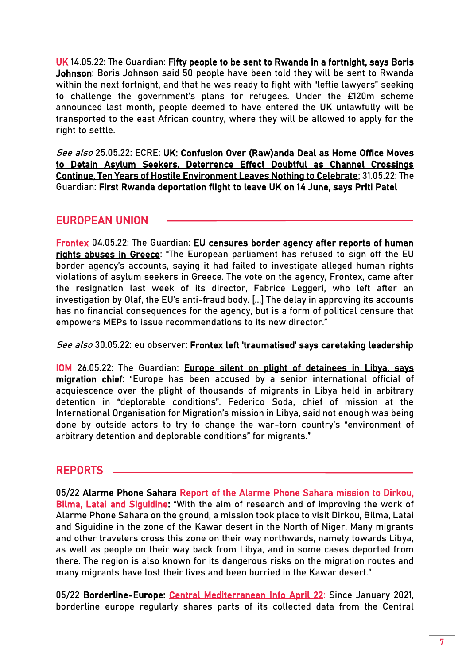UK 14.05.22: The Guardian: [Fifty people to be sent to Rwanda in a fortnight, says Boris](https://www.theguardian.com/uk-news/2022/may/14/fifty-migrants-to-be-sent-from-uk-to-rwanda-in-a-fortnight-says-boris-johnson)  [Johnson:](https://www.theguardian.com/uk-news/2022/may/14/fifty-migrants-to-be-sent-from-uk-to-rwanda-in-a-fortnight-says-boris-johnson) Boris Johnson said 50 people have been told they will be sent to Rwanda within the next fortnight, and that he was ready to fight with "leftie lawyers" seeking to challenge the government's plans for refugees. Under the £120m scheme announced last month, people deemed to have entered the UK unlawfully will be transported to the east African country, where they will be allowed to apply for the right to settle.

See also 25.05.22: ECRE: [UK: Confusion Over \(Raw\)anda Deal as Home Office Moves](https://ecre.org/uk-confusion-over-rawanda-deal-as-home-office-moves-to-detain-asylum-seekers-deterrence-effect-doubtful-as-channel-crossings-continue-ten-years-of-hostile-environment-leaves-nothing-to-celebrate/)  [to Detain Asylum Seekers, Deterrence Effect Doubtful as Channel Crossings](https://ecre.org/uk-confusion-over-rawanda-deal-as-home-office-moves-to-detain-asylum-seekers-deterrence-effect-doubtful-as-channel-crossings-continue-ten-years-of-hostile-environment-leaves-nothing-to-celebrate/)  [Continue, Ten Years of Hostile Environment Leaves Nothing to Celebrate;](https://ecre.org/uk-confusion-over-rawanda-deal-as-home-office-moves-to-detain-asylum-seekers-deterrence-effect-doubtful-as-channel-crossings-continue-ten-years-of-hostile-environment-leaves-nothing-to-celebrate/) 31.05.22: The Guardian: [First Rwanda deportation flight to leave UK on 14 June, says Priti Patel](https://www.theguardian.com/uk-news/2022/may/31/first-rwanda-deportation-flight-leave-uk-14-june-priti-patel)

#### EUROPEAN UNION

Frontex 04.05.22: The Guardian: EU censures border agency after reports of human [rights abuses in Greece](https://www.theguardian.com/world/2022/may/04/eu-censures-border-agency-after-reports-of-human-rights-abuses-in-greece): "The European parliament has refused to sign off the EU border agency's accounts, saying it had failed to investigate alleged human rights violations of asylum seekers in Greece. The vote on the agency, Frontex, came after the resignation last week of its director, Fabrice Leggeri, who left after an investigation by Olaf, the EU's anti-fraud body. [...] The delay in approving its accounts has no financial consequences for the agency, but is a form of political censure that empowers MEPs to issue recommendations to its new director."

See also 30.05.22: eu observer: [Frontex left 'traumatised' says caretaking leadership](https://euobserver.com/migration/155089)

IOM 26.05.22: The Guardian: [Europe silent on plight of detainees in Libya, says](https://www.theguardian.com/world/2022/may/26/europe-silent-on-plight-of-refugees-in-libya-says-iom-mission-chief-federico-soda)  [migration chief](https://www.theguardian.com/world/2022/may/26/europe-silent-on-plight-of-refugees-in-libya-says-iom-mission-chief-federico-soda): "Europe has been accused by a senior international official of acquiescence over the plight of thousands of migrants in Libya held in arbitrary detention in "deplorable conditions". Federico Soda, chief of mission at the International Organisation for Migration's mission in Libya, said not enough was being done by outside actors to try to change the war-torn country's "environment of arbitrary detention and deplorable conditions" for migrants."

#### REPORTS

05/22 Alarme Phone Sahara [Report of the Alarme Phone Sahara mission to Dirkou,](https://alarmephonesahara.info/en/blog/posts/report-of-the-alarme-phone-sahara-mission-to-dirkou-bilma-latai-and-siguidine)  [Bilma, Latai and Siguidine:](https://alarmephonesahara.info/en/blog/posts/report-of-the-alarme-phone-sahara-mission-to-dirkou-bilma-latai-and-siguidine) "With the aim of research and of improving the work of Alarme Phone Sahara on the ground, a mission took place to visit Dirkou, Bilma, Latai and Siguidine in the zone of the Kawar desert in the North of Niger. Many migrants and other travelers cross this zone on their way northwards, namely towards Libya, as well as people on their way back from Libya, and in some cases deported from there. The region is also known for its dangerous risks on the migration routes and many migrants have lost their lives and been burried in the Kawar desert."

05/22 Borderline-Europe: [Central Mediterranean Info April 22:](https://www.borderline-europe.de/sites/default/files/projekte_files/Central%20Med%20Info%20April22.pdf) Since January 2021, borderline europe regularly shares parts of its collected data from the Central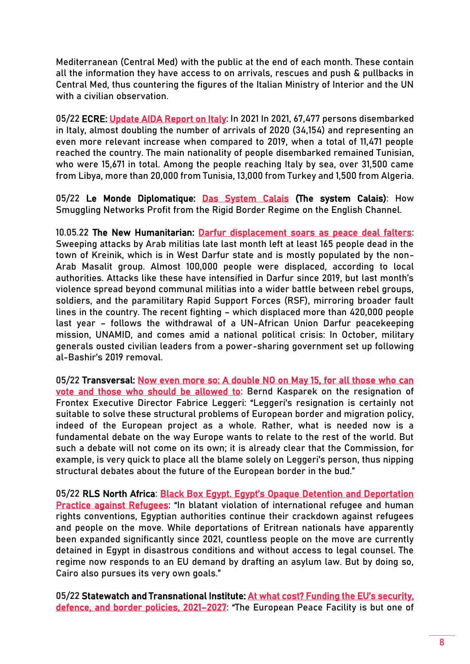Mediterranean (Central Med) with the public at the end of each month. These contain all the information they have access to on arrivals, rescues and push & pullbacks in Central Med, thus countering the figures of the Italian Ministry of Interior and the UN with a civilian observation.

05/22 ECRE: [Update AIDA Report on Italy:](https://asylumineurope.org/wp-content/uploads/2022/05/AIDA-IT_2021update.pdf) In 2021 In 2021, 67,477 persons disembarked in Italy, almost doubling the number of arrivals of 2020 (34,154) and representing an even more relevant increase when compared to 2019, when a total of 11,471 people reached the country. The main nationality of people disembarked remained Tunisian, who were 15,671 in total. Among the people reaching Italy by sea, over 31,500 came from Libya, more than 20,000 from Tunisia, 13,000 from Turkey and 1,500 from Algeria.

05/22 Le Monde Diplomatique: [Das System Calais](https://www.monde-diplomatique.de/!5852717) (The system Calais): How Smuggling Networks Profit from the Rigid Border Regime on the English Channel.

10.05.22 The New Humanitarian: [Darfur displacement soars as peace deal falters:](https://www.thenewhumanitarian.org/analysis/2022/05/10/darfur-displacement-soars-peace-deal-falters?utm_source=The+New+Humanitarian&utm_campaign=1a31614936-EMAIL_CAMPAIGN_2021_05_13_Weekly&utm_medium=email&utm_term=0_d842d98289-1a31614936-75454181) Sweeping attacks by Arab militias late last month left at least 165 people dead in the town of Kreinik, which is in West Darfur state and is mostly populated by the non-Arab Masalit group. Almost 100,000 people were displaced, according to local authorities. Attacks like these have intensified in Darfur since 2019, but last month's violence spread beyond communal militias into a wider battle between rebel groups, soldiers, and the paramilitary Rapid Support Forces (RSF), mirroring broader fault lines in the country. The recent fighting – which displaced more than 420,000 people last year – follows the withdrawal of a UN-African Union Darfur peacekeeping mission, UNAMID, and comes amid a national political crisis: In October, military generals ousted civilian leaders from a power-sharing government set up following al-Bashir's 2019 removal.

05/22 Transversal: Now even more so: A double NO on May 15, for all those who can [vote and those who should be allowed to:](https://transversal.at/blog/now-even-more-so-a-double-no-on-may-15) Bernd Kasparek on the resignation of Frontex Executive Director Fabrice Leggeri: "Leggeri's resignation is certainly not suitable to solve these structural problems of European border and migration policy, indeed of the European project as a whole. Rather, what is needed now is a fundamental debate on the way Europe wants to relate to the rest of the world. But such a debate will not come on its own; it is already clear that the Commission, for example, is very quick to place all the blame solely on Leggeri's person, thus nipping structural debates about the future of the European border in the bud."

05/22 RLS North Africa: [Black Box Egypt. Egypt's Opaque Detention and Deportation](https://www.rosalux.de/fileadmin/rls_uploads/pdfs/sonst_publikationen/RLS_Black_Box_Egypt_EN.pdf)  [Practice against Refugees](https://www.rosalux.de/fileadmin/rls_uploads/pdfs/sonst_publikationen/RLS_Black_Box_Egypt_EN.pdf): "In blatant violation of international refugee and human rights conventions, Egyptian authorities continue their crackdown against refugees and people on the move. While deportations of Eritrean nationals have apparently been expanded significantly since 2021, countless people on the move are currently detained in Egypt in disastrous conditions and without access to legal counsel. The regime now responds to an EU demand by drafting an asylum law. But by doing so, Cairo also pursues its very own goals."

05/22 Statewatch and Transnational Institute: At what cost? Funding the EU's security, [defence, and border policies, 2021](https://www.statewatch.org/publications/reports-and-books/at-what-cost-funding-the-eu-s-security-defence-and-border-policies-2021-2027/)-2027: "The European Peace Facility is but one of